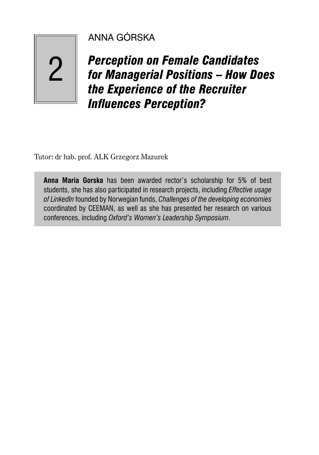## ANNA GÓRSKA

2

# *Perception on Female Candidates for Managerial Positions – How Does the Experience of the Recruiter*  **Influences Perception?**

Tutor: dr hab. prof. ALK Grzegorz Mazurek

**Anna Maria Gorska** has been awarded rector's scholarship for 5% of best students, she has also participated in research projects, including *Effective usage of LinkedIn* founded by Norwegian funds, *Challenges of the developing economies* coordinated by CEEMAN, as well as she has presented her research on various conferences, including *Oxford's Women's Leadership Symposium*.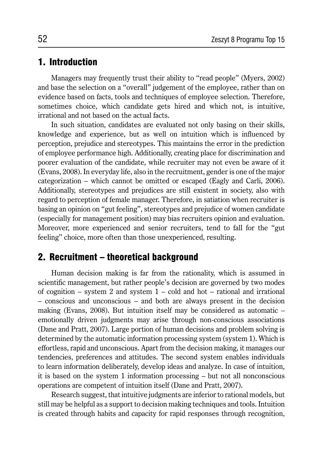### 1. Introduction

Managers may frequently trust their ability to "read people" (Myers, 2002) and base the selection on a "overall" judgement of the employee, rather than on evidence based on facts, tools and techniques of employee selection. Therefore, sometimes choice, which candidate gets hired and which not, is intuitive, irrational and not based on the actual facts.

In such situation, candidates are evaluated not only basing on their skills, knowledge and experience, but as well on intuition which is influenced by perception, prejudice and stereotypes. This maintains the error in the prediction of employee performance high. Additionally, creating place for discrimination and poorer evaluation of the candidate, while recruiter may not even be aware of it (Evans, 2008). In everyday life, also in the recruitment, gender is one of the major categorization – which cannot be omitted or escaped (Eagly and Carli, 2006). Additionally, stereotypes and prejudices are still existent in society, also with regard to perception of female manager. Therefore, in satiation when recruiter is basing an opinion on "gut feeling", stereotypes and prejudice of women candidate (especially for management position) may bias recruiters opinion and evaluation. Moreover, more experienced and senior recruiters, tend to fall for the "gut feeling" choice, more often than those unexperienced, resulting.

## 2. Recruitment – theoretical background

Human decision making is far from the rationality, which is assumed in scientific management, but rather people's decision are governed by two modes of cognition – system 2 and system  $1 - \text{cold}$  and hot – rational and irrational – conscious and unconscious – and both are always present in the decision making (Evans, 2008). But intuition itself may be considered as automatic – emotionally driven judgments may arise through non-conscious associations (Dane and Pratt, 2007). Large portion of human decisions and problem solving is determined by the automatic information processing system (system 1). Which is effortless, rapid and unconscious. Apart from the decision making, it manages our tendencies, preferences and attitudes. The second system enables individuals to learn information deliberately, develop ideas and analyze. In case of intuition, it is based on the system 1 information processing – but not all nonconscious operations are competent of intuition itself (Dane and Pratt, 2007).

Research suggest, that intuitive judgments are inferior to rational models, but still may be helpful as a support to decision making techniques and tools. Intuition is created through habits and capacity for rapid responses through recognition,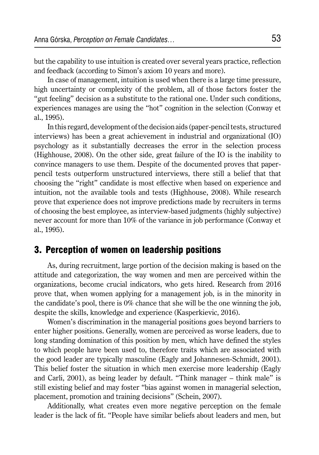but the capability to use intuition is created over several years practice, reflection and feedback (according to Simon's axiom 10 years and more).

In case of management, intuition is used when there is a large time pressure, high uncertainty or complexity of the problem, all of those factors foster the "gut feeling" decision as a substitute to the rational one. Under such conditions, experiences manages are using the "hot" cognition in the selection (Conway et al., 1995).

In this regard, development of the decision aids (paper-pencil tests, structured interviews) has been a great achievement in industrial and organizational (IO) psychology as it substantially decreases the error in the selection process (Highhouse, 2008). On the other side, great failure of the IO is the inability to convince managers to use them. Despite of the documented proves that paperpencil tests outperform unstructured interviews, there still a belief that that choosing the "right" candidate is most effective when based on experience and intuition, not the available tools and tests (Highhouse, 2008). While research prove that experience does not improve predictions made by recruiters in terms of choosing the best employee, as interview-based judgments (highly subjective) never account for more than 10% of the variance in job performance (Conway et al., 1995).

#### 3. Perception of women on leadership positions

As, during recruitment, large portion of the decision making is based on the attitude and categorization, the way women and men are perceived within the organizations, become crucial indicators, who gets hired. Research from 2016 prove that, when women applying for a management job, is in the minority in the candidate's pool, there is 0% chance that she will be the one winning the job, despite the skills, knowledge and experience (Kasperkievic, 2016).

Women's discrimination in the managerial positions goes beyond barriers to enter higher positions. Generally, women are perceived as worse leaders, due to long standing domination of this position by men, which have defined the styles to which people have been used to, therefore traits which are associated with the good leader are typically masculine (Eagly and Johannesen-Schmidt, 2001). This belief foster the situation in which men exercise more leadership (Eagly and Carli, 2001), as being leader by default. "Think manager – think male" is still existing belief and may foster "bias against women in managerial selection, placement, promotion and training decisions" (Schein, 2007).

Additionally, what creates even more negative perception on the female leader is the lack of fit. "People have similar beliefs about leaders and men, but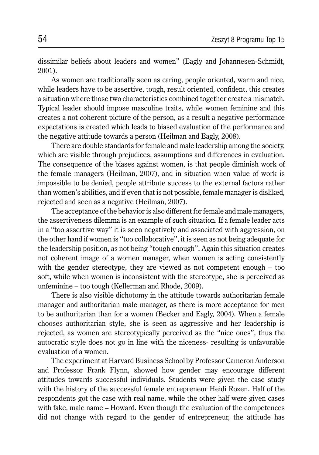dissimilar beliefs about leaders and women" (Eagly and Johannesen-Schmidt, 2001).

As women are traditionally seen as caring, people oriented, warm and nice, while leaders have to be assertive, tough, result oriented, confident, this creates a situation where those two characteristics combined together create a mismatch. Typical leader should impose masculine traits, while women feminine and this creates a not coherent picture of the person, as a result a negative performance expectations is created which leads to biased evaluation of the performance and the negative attitude towards a person (Heilman and Eagly, 2008).

There are double standards for female and male leadership among the society, which are visible through prejudices, assumptions and differences in evaluation. The consequence of the biases against women, is that people diminish work of the female managers (Heilman, 2007), and in situation when value of work is impossible to be denied, people attribute success to the external factors rather than women's abilities, and if even that is not possible, female manager is disliked, rejected and seen as a negative (Heilman, 2007).

The acceptance of the behavior is also different for female and male managers, the assertiveness dilemma is an example of such situation. If a female leader acts in a "too assertive way" it is seen negatively and associated with aggression, on the other hand if women is "too collaborative", it is seen as not being adequate for the leadership position, as not being "tough enough". Again this situation creates not coherent image of a women manager, when women is acting consistently with the gender stereotype, they are viewed as not competent enough – too soft, while when women is inconsistent with the stereotype, she is perceived as unfeminine – too tough (Kellerman and Rhode, 2009).

There is also visible dichotomy in the attitude towards authoritarian female manager and authoritarian male manager, as there is more acceptance for men to be authoritarian than for a women (Becker and Eagly, 2004). When a female chooses authoritarian style, she is seen as aggressive and her leadership is rejected, as women are stereotypically perceived as the "nice ones", thus the autocratic style does not go in line with the niceness- resulting is unfavorable evaluation of a women.

The experiment at Harvard Business School by Professor Cameron Anderson and Professor Frank Flynn, showed how gender may encourage different attitudes towards successful individuals. Students were given the case study with the history of the successful female entrepreneur Heidi Rozen. Half of the respondents got the case with real name, while the other half were given cases with fake, male name – Howard. Even though the evaluation of the competences did not change with regard to the gender of entrepreneur, the attitude has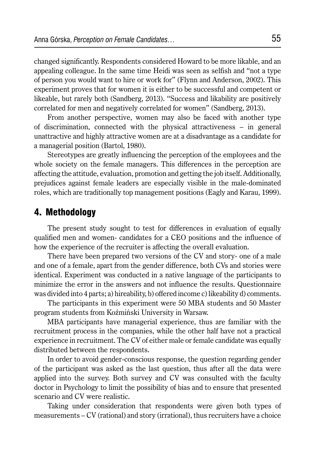changed significantly. Respondents considered Howard to be more likable, and an appealing colleague. In the same time Heidi was seen as selfish and "not a type of person you would want to hire or work for" (Flynn and Anderson, 2002). This experiment proves that for women it is either to be successful and competent or likeable, but rarely both (Sandberg, 2013). "Success and likability are positively correlated for men and negatively correlated for women" (Sandberg, 2013).

From another perspective, women may also be faced with another type of discrimination, connected with the physical attractiveness – in general unattractive and highly attractive women are at a disadvantage as a candidate for a managerial position (Bartol, 1980).

Stereotypes are greatly influencing the perception of the employees and the whole society on the female managers. This differences in the perception are affecting the attitude, evaluation, promotion and getting the job itself. Additionally, prejudices against female leaders are especially visible in the male-dominated roles, which are traditionally top management positions (Eagly and Karau, 1999).

### 4. Methodology

The present study sought to test for differences in evaluation of equally qualified men and women- candidates for a CEO positions and the influence of how the experience of the recruiter is affecting the overall evaluation.

There have been prepared two versions of the CV and story- one of a male and one of a female, apart from the gender difference, both CVs and stories were identical. Experiment was conducted in a native language of the participants to minimize the error in the answers and not influence the results. Questionnaire was divided into 4 parts; a) hireability, b) offered income c) likeability d) comments.

The participants in this experiment were 50 MBA students and 50 Master program students from Koźmiński University in Warsaw.

MBA participants have managerial experience, thus are familiar with the recruitment process in the companies, while the other half have not a practical experience in recruitment. The CV of either male or female candidate was equally distributed between the respondents.

In order to avoid gender-conscious response, the question regarding gender of the participant was asked as the last question, thus after all the data were applied into the survey. Both survey and CV was consulted with the faculty doctor in Psychology to limit the possibility of bias and to ensure that presented scenario and CV were realistic.

Taking under consideration that respondents were given both types of measurements – CV (rational) and story (irrational), thus recruiters have a choice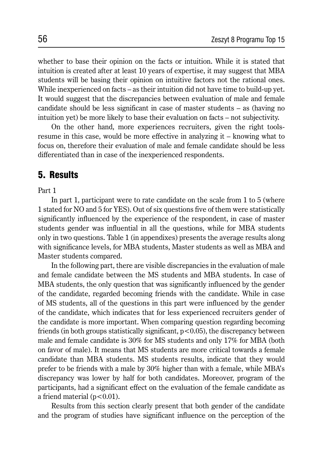whether to base their opinion on the facts or intuition. While it is stated that intuition is created after at least 10 years of expertise, it may suggest that MBA students will be basing their opinion on intuitive factors not the rational ones. While inexperienced on facts – as their intuition did not have time to build-up yet. It would suggest that the discrepancies between evaluation of male and female candidate should be less significant in case of master students – as (having no intuition yet) be more likely to base their evaluation on facts – not subjectivity.

On the other hand, more experiences recruiters, given the right toolsresume in this case, would be more effective in analyzing it – knowing what to focus on, therefore their evaluation of male and female candidate should be less differentiated than in case of the inexperienced respondents.

#### 5. Results

Part 1

In part 1, participant were to rate candidate on the scale from 1 to 5 (where 1 stated for NO and 5 for YES). Out of six questions five of them were statistically significantly influenced by the experience of the respondent, in case of master students gender was influential in all the questions, while for MBA students only in two questions. Table 1 (in appendixes) presents the average results along with significance levels, for MBA students, Master students as well as MBA and Master students compared.

In the following part, there are visible discrepancies in the evaluation of male and female candidate between the MS students and MBA students. In case of MBA students, the only question that was significantly influenced by the gender of the candidate, regarded becoming friends with the candidate. While in case of MS students, all of the questions in this part were influenced by the gender of the candidate, which indicates that for less experienced recruiters gender of the candidate is more important. When comparing question regarding becoming friends (in both groups statistically significant,  $p < 0.05$ ), the discrepancy between male and female candidate is 30% for MS students and only 17% for MBA (both on favor of male). It means that MS students are more critical towards a female candidate than MBA students. MS students results, indicate that they would prefer to be friends with a male by 30% higher than with a female, while MBA's discrepancy was lower by half for both candidates. Moreover, program of the participants, had a significant effect on the evaluation of the female candidate as a friend material  $(p<0.01)$ .

Results from this section clearly present that both gender of the candidate and the program of studies have significant influence on the perception of the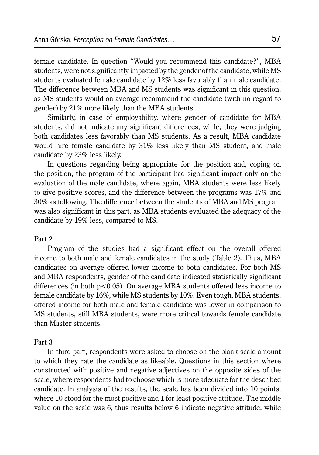female candidate. In question "Would you recommend this candidate?", MBA students, were not significantly impacted by the gender of the candidate, while MS students evaluated female candidate by 12% less favorably than male candidate. The difference between MBA and MS students was significant in this question, as MS students would on average recommend the candidate (with no regard to gender) by 21% more likely than the MBA students.

Similarly, in case of employability, where gender of candidate for MBA students, did not indicate any significant differences, while, they were judging both candidates less favorably than MS students. As a result, MBA candidate would hire female candidate by 31% less likely than MS student, and male candidate by 23% less likely.

In questions regarding being appropriate for the position and, coping on the position, the program of the participant had significant impact only on the evaluation of the male candidate, where again, MBA students were less likely to give positive scores, and the difference between the programs was 17% and 30% as following. The difference between the students of MBA and MS program was also significant in this part, as MBA students evaluated the adequacy of the candidate by 19% less, compared to MS.

#### Part 2

Program of the studies had a significant effect on the overall offered income to both male and female candidates in the study (Table 2). Thus, MBA candidates on average offered lower income to both candidates. For both MS and MBA respondents, gender of the candidate indicated statistically significant differences (in both  $p < 0.05$ ). On average MBA students offered less income to female candidate by 16%, while MS students by 10%. Even tough, MBA students, offered income for both male and female candidate was lower in comparison to MS students, still MBA students, were more critical towards female candidate than Master students.

#### Part 3

In third part, respondents were asked to choose on the blank scale amount to which they rate the candidate as likeable. Questions in this section where constructed with positive and negative adjectives on the opposite sides of the scale, where respondents had to choose which is more adequate for the described candidate. In analysis of the results, the scale has been divided into 10 points, where 10 stood for the most positive and 1 for least positive attitude. The middle value on the scale was 6, thus results below 6 indicate negative attitude, while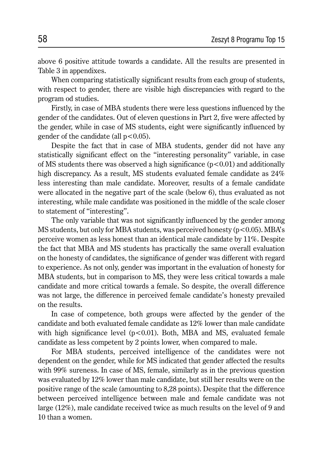above 6 positive attitude towards a candidate. All the results are presented in Table 3 in appendixes.

When comparing statistically significant results from each group of students, with respect to gender, there are visible high discrepancies with regard to the program od studies.

Firstly, in case of MBA students there were less questions influenced by the gender of the candidates. Out of eleven questions in Part 2, five were affected by the gender, while in case of MS students, eight were significantly influenced by gender of the candidate (all  $p < 0.05$ ).

Despite the fact that in case of MBA students, gender did not have any statistically significant effect on the "interesting personality" variable, in case of MS students there was observed a high significance  $(p<0.01)$  and additionally high discrepancy. As a result, MS students evaluated female candidate as  $24\%$ less interesting than male candidate. Moreover, results of a female candidate were allocated in the negative part of the scale (below 6), thus evaluated as not interesting, while male candidate was positioned in the middle of the scale closer to statement of "interesting".

The only variable that was not significantly influenced by the gender among MS students, but only for MBA students, was perceived honesty ( $p<0.05$ ). MBA's perceive women as less honest than an identical male candidate by 11%. Despite the fact that MBA and MS students has practically the same overall evaluation on the honesty of candidates, the significance of gender was different with regard to experience. As not only, gender was important in the evaluation of honesty for MBA students, but in comparison to MS, they were less critical towards a male candidate and more critical towards a female. So despite, the overall difference was not large, the difference in perceived female candidate's honesty prevailed on the results.

In case of competence, both groups were affected by the gender of the candidate and both evaluated female candidate as 12% lower than male candidate with high significance level  $(p<0.01)$ . Both, MBA and MS, evaluated female candidate as less competent by 2 points lower, when compared to male.

For MBA students, perceived intelligence of the candidates were not dependent on the gender, while for MS indicated that gender affected the results with 99% sureness. In case of MS, female, similarly as in the previous question was evaluated by 12% lower than male candidate, but still her results were on the positive range of the scale (amounting to 8,28 points). Despite that the difference between perceived intelligence between male and female candidate was not large (12%), male candidate received twice as much results on the level of 9 and 10 than a women.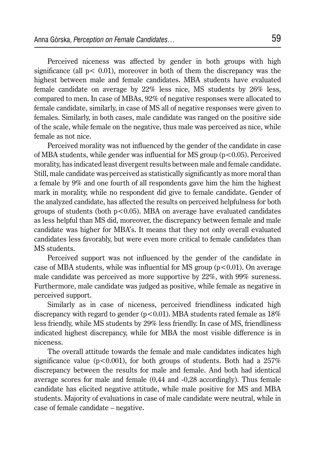Perceived niceness was affected by gender in both groups with high significance (all  $p < 0.01$ ), moreover in both of them the discrepancy was the highest between male and female candidates. MBA students have evaluated female candidate on average by 22% less nice, MS students by 26% less, compared to men. In case of MBAs, 92% of negative responses were allocated to female candidate, similarly, in case of MS all of negative responses were given to females. Similarly, in both cases, male candidate was ranged on the positive side of the scale, while female on the negative, thus male was perceived as nice, while female as not nice.

Perceived morality was not influenced by the gender of the candidate in case of MBA students, while gender was influential for MS group ( $p < 0.05$ ). Perceived morality, has indicated least divergent results between male and female candidate. Still, male candidate was perceived as statistically significantly as more moral than a female by 9% and one fourth of all respondents gave him the him the highest mark in morality, while no respondent did give to female candidate. Gender of the analyzed candidate, has affected the results on perceived helpfulness for both groups of students (both  $p<0.05$ ). MBA on average have evaluated candidates as less helpful than MS did, moreover, the discrepancy between female and male candidate was higher for MBA's. It means that they not only overall evaluated candidates less favorably, but were even more critical to female candidates than MS students.

Perceived support was not influenced by the gender of the candidate in case of MBA students, while was influential for MS group  $(p<0.01)$ . On average male candidate was perceived as more supportive by 22%, with 99% sureness. Furthermore, male candidate was judged as positive, while female as negative in perceived support.

Similarly as in case of niceness, perceived friendliness indicated high discrepancy with regard to gender ( $p<0.01$ ). MBA students rated female as 18% less friendly, while MS students by 29% less friendly. In case of MS, friendliness indicated highest discrepancy, while for MBA the most visible difference is in niceness.

The overall attitude towards the female and male candidates indicates high significance value ( $p < 0.001$ ), for both groups of students. Both had a 257% discrepancy between the results for male and female. And both had identical average scores for male and female (0,44 and -0,28 accordingly). Thus female candidate has elicited negative attitude, while male positive for MS and MBA students. Majority of evaluations in case of male candidate were neutral, while in case of female candidate – negative.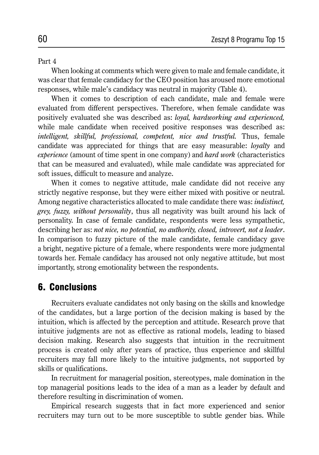#### Part 4

When looking at comments which were given to male and female candidate, it was clear that female candidacy for the CEO position has aroused more emotional responses, while male's candidacy was neutral in majority (Table 4).

When it comes to description of each candidate, male and female were evaluated from different perspectives. Therefore, when female candidate was positively evaluated she was described as: *loyal, hardworking and experienced,*  while male candidate when received positive responses was described as: *intelligent, skillful, professional, competent, nice and trustful. Thus, female* candidate was appreciated for things that are easy measurable: *loyalty* and *experience* (amount of time spent in one company) and *hard work* (characteristics that can be measured and evaluated), while male candidate was appreciated for soft issues, difficult to measure and analyze.

When it comes to negative attitude, male candidate did not receive any strictly negative response, but they were either mixed with positive or neutral. Among negative characteristics allocated to male candidate there was: *indistinct, grey, fuzzy, without personality*, thus all negativity was built around his lack of personality. In case of female candidate, respondents were less sympathetic, describing her as: *not nice, no potential, no authority, closed, introvert, not a leader*. In comparison to fuzzy picture of the male candidate, female candidacy gave a bright, negative picture of a female, where respondents were more judgmental towards her. Female candidacy has aroused not only negative attitude, but most importantly, strong emotionality between the respondents.

#### 6. Conclusions

Recruiters evaluate candidates not only basing on the skills and knowledge of the candidates, but a large portion of the decision making is based by the intuition, which is affected by the perception and attitude. Research prove that intuitive judgments are not as effective as rational models, leading to biased decision making. Research also suggests that intuition in the recruitment process is created only after years of practice, thus experience and skillful recruiters may fall more likely to the intuitive judgments, not supported by skills or qualifications.

In recruitment for managerial position, stereotypes, male domination in the top managerial positions leads to the idea of a man as a leader by default and therefore resulting in discrimination of women.

Empirical research suggests that in fact more experienced and senior recruiters may turn out to be more susceptible to subtle gender bias. While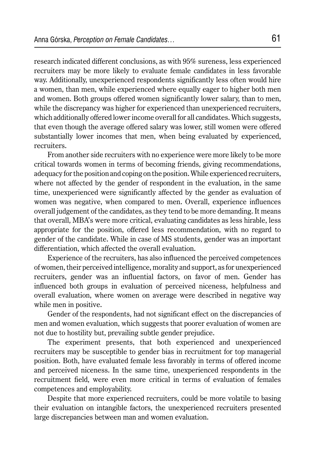research indicated different conclusions, as with 95% sureness, less experienced recruiters may be more likely to evaluate female candidates in less favorable way. Additionally, unexperienced respondents significantly less often would hire a women, than men, while experienced where equally eager to higher both men and women. Both groups offered women significantly lower salary, than to men, while the discrepancy was higher for experienced than unexperienced recruiters, which additionally offered lower income overall for all candidates. Which suggests, that even though the average offered salary was lower, still women were offered substantially lower incomes that men, when being evaluated by experienced, recruiters.

From another side recruiters with no experience were more likely to be more critical towards women in terms of becoming friends, giving recommendations, adequacy for the position and coping on the position. While experienced recruiters, where not affected by the gender of respondent in the evaluation, in the same time, unexperienced were significantly affected by the gender as evaluation of women was negative, when compared to men. Overall, experience influences overall judgement of the candidates, as they tend to be more demanding. It means that overall, MBA's were more critical, evaluating candidates as less hirable, less appropriate for the position, offered less recommendation, with no regard to gender of the candidate. While in case of MS students, gender was an important differentiation, which affected the overall evaluation.

Experience of the recruiters, has also influenced the perceived competences of women, their perceived intelligence, morality and support, as for unexperienced recruiters, gender was an influential factors, on favor of men. Gender has influenced both groups in evaluation of perceived niceness, helpfulness and overall evaluation, where women on average were described in negative way while men in positive.

Gender of the respondents, had not significant effect on the discrepancies of men and women evaluation, which suggests that poorer evaluation of women are not due to hostility but, prevailing subtle gender prejudice.

The experiment presents, that both experienced and unexperienced recruiters may be susceptible to gender bias in recruitment for top managerial position. Both, have evaluated female less favorably in terms of offered income and perceived niceness. In the same time, unexperienced respondents in the recruitment field, were even more critical in terms of evaluation of females competences and employability.

Despite that more experienced recruiters, could be more volatile to basing their evaluation on intangible factors, the unexperienced recruiters presented large discrepancies between man and women evaluation.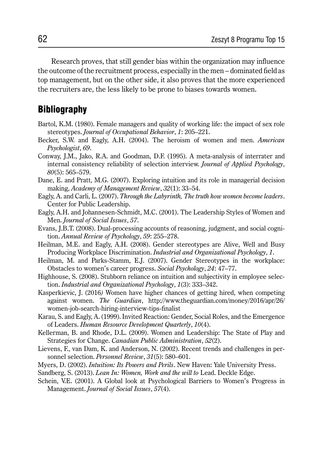Research proves, that still gender bias within the organization may influence the outcome of the recruitment process, especially in the men – dominated field as top management, but on the other side, it also proves that the more experienced the recruiters are, the less likely to be prone to biases towards women.

## **Bibliography**

- Bartol, K.M. (1980). Female managers and quality of working life: the impact of sex role stereotypes. *Journal of Occupational Behavior*, *1*: 205–221.
- Becker, S.W. and Eagly, A.H. (2004). The heroism of women and men. *American Psychologist*, *69*.
- Conway, J.M., Jako, R.A. and Goodman, D.F. (1995). A meta-analysis of interrater and internal consistency reliability of selection interview. *Journal of Applied Psychology*, *80*(5): 565–579.
- Dane, E. and Pratt, M.G. (2007). Exploring intuition and its role in managerial decision making, *Academy of Management Review*, *32*(1): 33–54.
- Eagly, A. and Carli, L. (2007). *Through the Labyrinth, The truth how women become leaders*. Center for Public Leadership.
- Eagly, A.H. and Johannesen-Schmidt, M.C. (2001). The Leadership Styles of Women and Men. *Journal of Social Issues*, *57*.
- Evans, J.B.T. (2008). Dual-processing accounts of reasoning, judgment, and social cognition. *Annual Review of Psychology*, *59*: 255–278.
- Heilman, M.E. and Eagly, A.H. (2008). Gender stereotypes are Alive, Well and Busy Producing Workplace Discrimination. *Industrial and Organizational Psychology*, *1*.
- Heilman, M. and Parks-Stamm, E.J. (2007). Gender Stereotypes in the workplace: Obstacles to women's career progress. *Social Psychology*, *24*: 47–77.
- Highhouse, S. (2008). Stubborn reliance on intuition and subjectivity in employee selection. *Industrial and Organizational Psychology*, *1*(3): 333–342.
- Kasperkievic, J. (2016*)* Women have higher chances of getting hired, when competing against women. *The Guardian*, http://www.theguardian.com/money/2016/apr/26/ women-job-search-hiring-interview-tips-finalist
- Karau, S. and Eagly, A. (1999). Invited Reaction: Gender, Social Roles, and the Emergence of Leaders. *Human Resource Development Quarterly*, *10*(4).
- Kellerman, B. and Rhode, D.L. (2009). Women and Leadership: The State of Play and Strategies for Change. *Canadian Public Administration*, *52*(2).
- Lievens, F., van Dam, K. and Anderson, N. (2002). Recent trends and challenges in personnel selection. *Personnel Review*, *31*(5): 580–601.
- Myers, D. (2002). *Intuition: Its Powers and Perils*. New Haven: Yale University Press.
- Sandberg, S. (2013). *Lean In: Women, Work and the will to* Lead. Deckle Edge.
- Schein, V.E. (2001). A Global look at Psychological Barriers to Women's Progress in Management. *Journal of Social Issues*, *57*(4).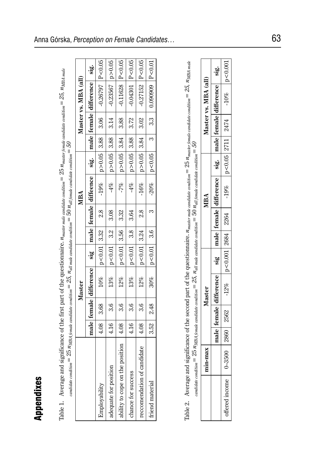| i<br>$\frac{1}{2}$<br>$m = 23, p$<br>ì<br>δ<br>$\parallel$                                                                                                                                                                                                       |  |
|------------------------------------------------------------------------------------------------------------------------------------------------------------------------------------------------------------------------------------------------------------------|--|
| $\mathbb{Z}_p$ ate condition $\mathbb{Z}_p \times \mathbb{Z}_p$ masse.<br>$\mathcal{L} = 50$<br>Ì<br>russer male.<br>ă<br>j<br>Tha minat<br>$_m = 25. n$<br>$\frac{1}{4}$<br>キャクキ こうきょう<br>こく くくさき こうしょう<br>$\frac{1}{2}$<br>l<br>II<br>Contractor<br> <br> <br> |  |
| $\overline{\phantom{a}}$                                                                                                                                                                                                                                         |  |

| Appendixes                                                                                                                                                                                                   |            |      |      |                        |                         |      |        |                                                                                                                                   |               |      |               |                        |           |
|--------------------------------------------------------------------------------------------------------------------------------------------------------------------------------------------------------------|------------|------|------|------------------------|-------------------------|------|--------|-----------------------------------------------------------------------------------------------------------------------------------|---------------|------|---------------|------------------------|-----------|
| Table 1. Average and significance of the first part of the questionnaire. $n_{mask}$ male condidate condition $= 25 n_{mask}$ candidate condition $= 25$ , $n_{MHz}$<br>$\alpha$ andidate condition $\equiv$ |            |      |      |                        |                         |      |        | $25\ n_{MBA}$ jemale candidate condition $=25,\ n_{all}$ male candidate condition $=50\ n_{all}$ jemale candidate condition $=50$ |               |      |               |                        |           |
|                                                                                                                                                                                                              |            |      |      | Master                 |                         |      |        | MBA                                                                                                                               |               |      |               | Master vs. MBA (all)   |           |
|                                                                                                                                                                                                              |            |      |      | male female difference | $\ddot{\mathbf{g}}$     | male | female | diffeence                                                                                                                         | sig.          |      | male   female | difference             | .gr       |
| Employability                                                                                                                                                                                                |            | 4.08 | 3.68 | 10%                    | p < 0.01                | 3.32 | 2.8    | $-19%$                                                                                                                            | p > 0.05      | 3.88 | 3.06          | $-0.26797$             | P < 0.05  |
| adequate for position                                                                                                                                                                                        |            | 4.16 | 3.6  | 13%                    | p < 0.01                | 3.2  | 3.08   | $-4\%$                                                                                                                            | p > 0.05      | 3.88 | 3.14          | $-0.23567$             | p > 0.05  |
| ability to cope on the position                                                                                                                                                                              |            | 4.08 | 3.6  | 12%                    | p < 0.01                | 3.56 | 3.32   | $-7\%$                                                                                                                            | p > 0.05      | 3.84 | 3.88          | $-0.11628$             | P < 0.05  |
| chance for success                                                                                                                                                                                           |            | 4.16 | 3.6  | 13%                    | p < 0.01                | 3.8  | 3.64   | $-4\%$                                                                                                                            | p > 0.05      | 3.88 | 3.72          | $-0.04301$             | P < 0.05  |
| recomendation of candidate                                                                                                                                                                                   |            | 4.08 | 3.6  | $12\%$                 | $10.00 - 0.01$          | 3.24 | 2.8    | $-16%$                                                                                                                            | p > 0.05      | 3.84 | 3.02          | $-0.27152$             | P < 0.05  |
| friend material                                                                                                                                                                                              |            | 3.52 | 2.48 | 30%                    | p < 0.01                | 3.6  | S      | $-20%$                                                                                                                            | p < 0.05      | S    | 3.3           | 0.090909               | P < 0.01  |
|                                                                                                                                                                                                              |            |      |      |                        |                         |      |        |                                                                                                                                   |               |      |               |                        |           |
| Table 2. Average and significance of the second part of the questionnaire. $n_{mask}$ mate andidate condition = 25 $n_{mask}$ remate condition = 25, $n_{MHz}$ = 25, $n_{MHz}$<br>$candidate\ condition =$   |            |      |      |                        |                         |      |        | $25\,n_{MBM,6male\; candidate\; condition}=25,\,n_{all\; male\; candidate\; condition}=50\,n_{all\; female\; condition}=50$       |               |      |               |                        |           |
|                                                                                                                                                                                                              | min-max    |      |      | <b>Master</b>          |                         |      |        | MBA                                                                                                                               |               |      |               | Master vs. MBA (all)   |           |
|                                                                                                                                                                                                              |            |      |      | male female difference | $\overline{\mathbf{g}}$ |      |        | male female difference                                                                                                            | sig.          |      |               | male female difference | .<br>Sig  |
| offered income                                                                                                                                                                                               | $0 - 3500$ | 2860 | 2562 | $-12%$                 | p < 0.001               | 2684 | 2264   | $-19%$                                                                                                                            | $p<0.05$ 2711 |      | 2474          | $-10%$                 | p < 0.001 |

| $\mathcal{L} = \mathcal{L}$<br>significance of the second part of the questionnair<br>) | کی<br>بالا<br>$\sim$ OG $=$ $\sim$<br>ı<br>$t_{\text{itima}} = \angle 3$ , $n_a$                                                                                                                             |
|-----------------------------------------------------------------------------------------|--------------------------------------------------------------------------------------------------------------------------------------------------------------------------------------------------------------|
| į<br>į<br>)<br>i<br>$5 - 1$<br>١<br>I<br>I                                              | $\ldots$ $\ldots$ $\mathcal{L}$ $\mathcal{L}$ $\mathcal{L}$ $\mathcal{L}$ $\mathcal{L}$ $\mathcal{L}$ $\mathcal{L}$ $\mathcal{L}$ $\mathcal{L}$ $\mathcal{L}$ $\mathcal{L}$ $\mathcal{L}$ $\ldots$<br>ś<br>j |
| İ<br>I<br>:<br>ś<br>Ï                                                                   |                                                                                                                                                                                                              |

|                      | .<br>sig                | < 0.001              |
|----------------------|-------------------------|----------------------|
| Master vs. MBA (all) | male female difference, | $-10%$               |
|                      |                         |                      |
|                      |                         |                      |
|                      | $\cdot \dot{g}$         | $p < 0.05$ 2711 2474 |
| MBA                  | <b>difference</b>       | $-19%$               |
|                      | male   female           | 2264                 |
|                      |                         |                      |
|                      | sig                     | $p < 0.001$ 2684     |
| <b>laster</b>        | ifferenc                | $-12%$               |
|                      | female                  | 2562                 |
|                      | male                    | 2860                 |
| max<br>昌             |                         | 3500<br>ļ            |
|                      |                         |                      |